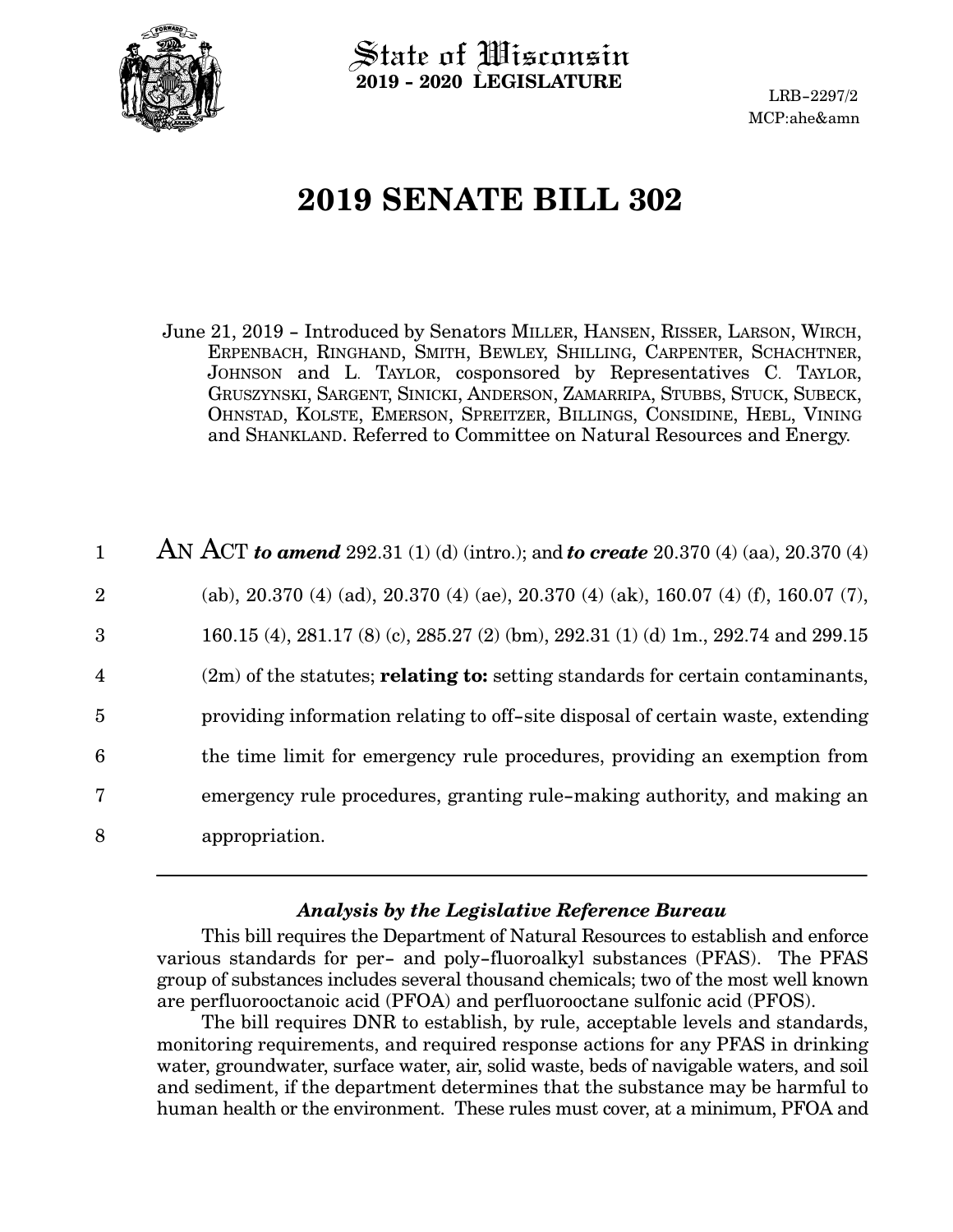

State of Wisconsin **2019 - 2020 LEGISLATURE**

LRB-2297/2 MCP:ahe&amn

# **2019 SENATE BILL 302**

June 21, 2019 - Introduced by Senators MILLER, HANSEN, RISSER, LARSON, WIRCH, ERPENBACH, RINGHAND, SMITH, BEWLEY, SHILLING, CARPENTER, SCHACHTNER, JOHNSON and L. TAYLOR, cosponsored by Representatives C. TAYLOR, GRUSZYNSKI, SARGENT, SINICKI, ANDERSON, ZAMARRIPA, STUBBS, STUCK, SUBECK, OHNSTAD, KOLSTE, EMERSON, SPREITZER, BILLINGS, CONSIDINE, HEBL, VINING and SHANKLAND. Referred to Committee on Natural Resources and Energy.

| $\mathbf{1}$   | AN ACT to amend 292.31 (1) (d) (intro.); and to create 20.370 (4) (aa), 20.370 (4)      |
|----------------|-----------------------------------------------------------------------------------------|
| $\overline{2}$ | (ab), 20.370 (4) (ad), 20.370 (4) (ae), 20.370 (4) (ak), 160.07 (4) (f), 160.07 (7),    |
| 3              | 160.15 (4), 281.17 (8) (c), 285.27 (2) (bm), 292.31 (1) (d) 1m., 292.74 and 299.15      |
| $\overline{4}$ | $(2m)$ of the statutes; <b>relating to:</b> setting standards for certain contaminants, |
| $\overline{5}$ | providing information relating to off-site disposal of certain waste, extending         |
| 6              | the time limit for emergency rule procedures, providing an exemption from               |
| 7              | emergency rule procedures, granting rule-making authority, and making an                |
| 8              | appropriation.                                                                          |

#### *Analysis by the Legislative Reference Bureau*

This bill requires the Department of Natural Resources to establish and enforce various standards for per- and poly-fluoroalkyl substances (PFAS). The PFAS group of substances includes several thousand chemicals; two of the most well known are perfluorooctanoic acid (PFOA) and perfluorooctane sulfonic acid (PFOS).

The bill requires DNR to establish, by rule, acceptable levels and standards, monitoring requirements, and required response actions for any PFAS in drinking water, groundwater, surface water, air, solid waste, beds of navigable waters, and soil and sediment, if the department determines that the substance may be harmful to human health or the environment. These rules must cover, at a minimum, PFOA and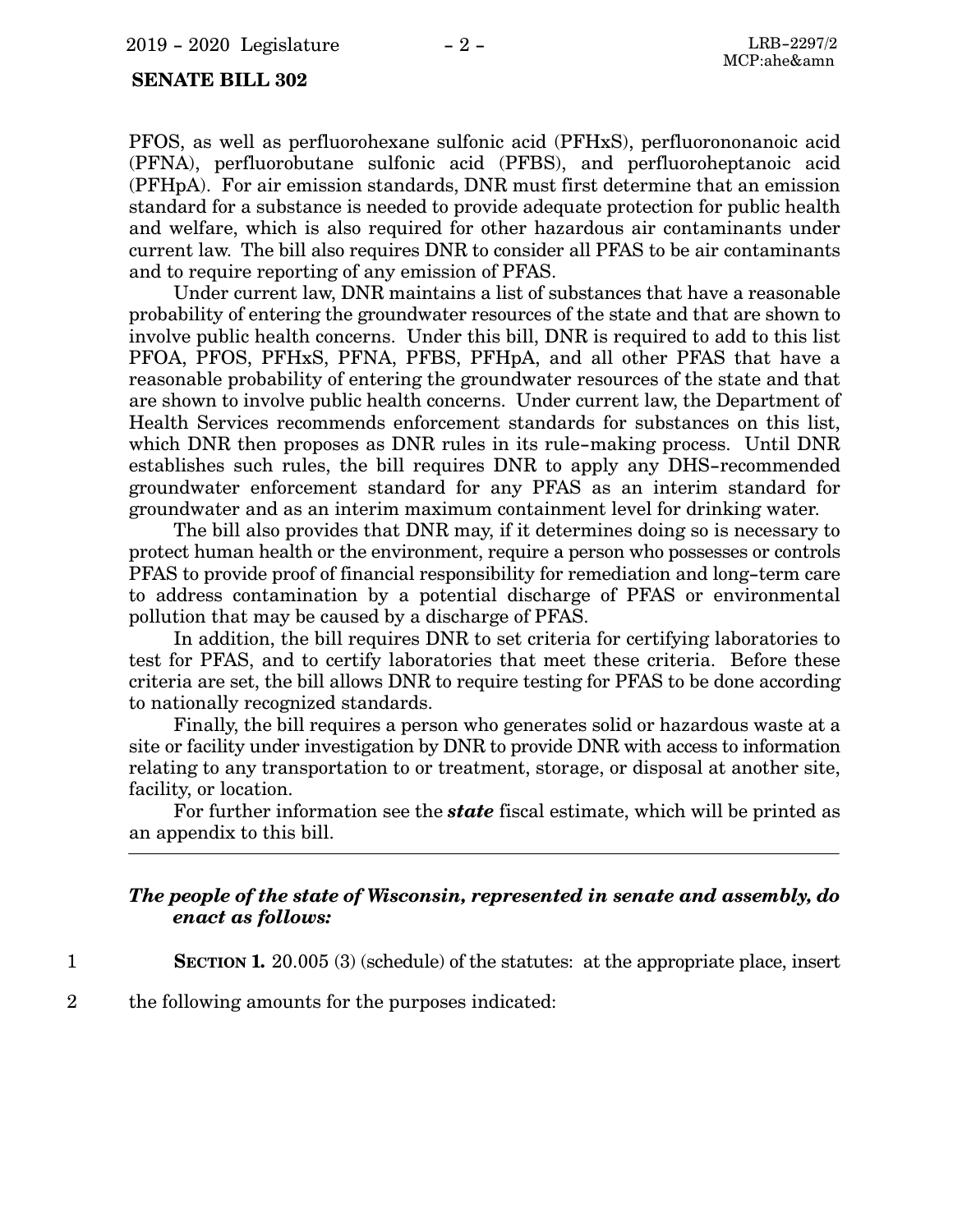#### **SENATE BILL 302**

PFOS, as well as perfluorohexane sulfonic acid (PFHxS), perfluorononanoic acid (PFNA), perfluorobutane sulfonic acid (PFBS), and perfluoroheptanoic acid (PFHpA). For air emission standards, DNR must first determine that an emission standard for a substance is needed to provide adequate protection for public health and welfare, which is also required for other hazardous air contaminants under current law. The bill also requires DNR to consider all PFAS to be air contaminants and to require reporting of any emission of PFAS.

Under current law, DNR maintains a list of substances that have a reasonable probability of entering the groundwater resources of the state and that are shown to involve public health concerns. Under this bill, DNR is required to add to this list PFOA, PFOS, PFHxS, PFNA, PFBS, PFHpA, and all other PFAS that have a reasonable probability of entering the groundwater resources of the state and that are shown to involve public health concerns. Under current law, the Department of Health Services recommends enforcement standards for substances on this list, which DNR then proposes as DNR rules in its rule-making process. Until DNR establishes such rules, the bill requires DNR to apply any DHS-recommended groundwater enforcement standard for any PFAS as an interim standard for groundwater and as an interim maximum containment level for drinking water.

The bill also provides that DNR may, if it determines doing so is necessary to protect human health or the environment, require a person who possesses or controls PFAS to provide proof of financial responsibility for remediation and long-term care to address contamination by a potential discharge of PFAS or environmental pollution that may be caused by a discharge of PFAS.

In addition, the bill requires DNR to set criteria for certifying laboratories to test for PFAS, and to certify laboratories that meet these criteria. Before these criteria are set, the bill allows DNR to require testing for PFAS to be done according to nationally recognized standards.

Finally, the bill requires a person who generates solid or hazardous waste at a site or facility under investigation by DNR to provide DNR with access to information relating to any transportation to or treatment, storage, or disposal at another site, facility, or location.

For further information see the *state* fiscal estimate, which will be printed as an appendix to this bill.

#### *The people of the state of Wisconsin, represented in senate and assembly, do enact as follows:*

- **SECTION 1.** 20.005 (3) (schedule) of the statutes: at the appropriate place, insert
- the following amounts for the purposes indicated: 2

1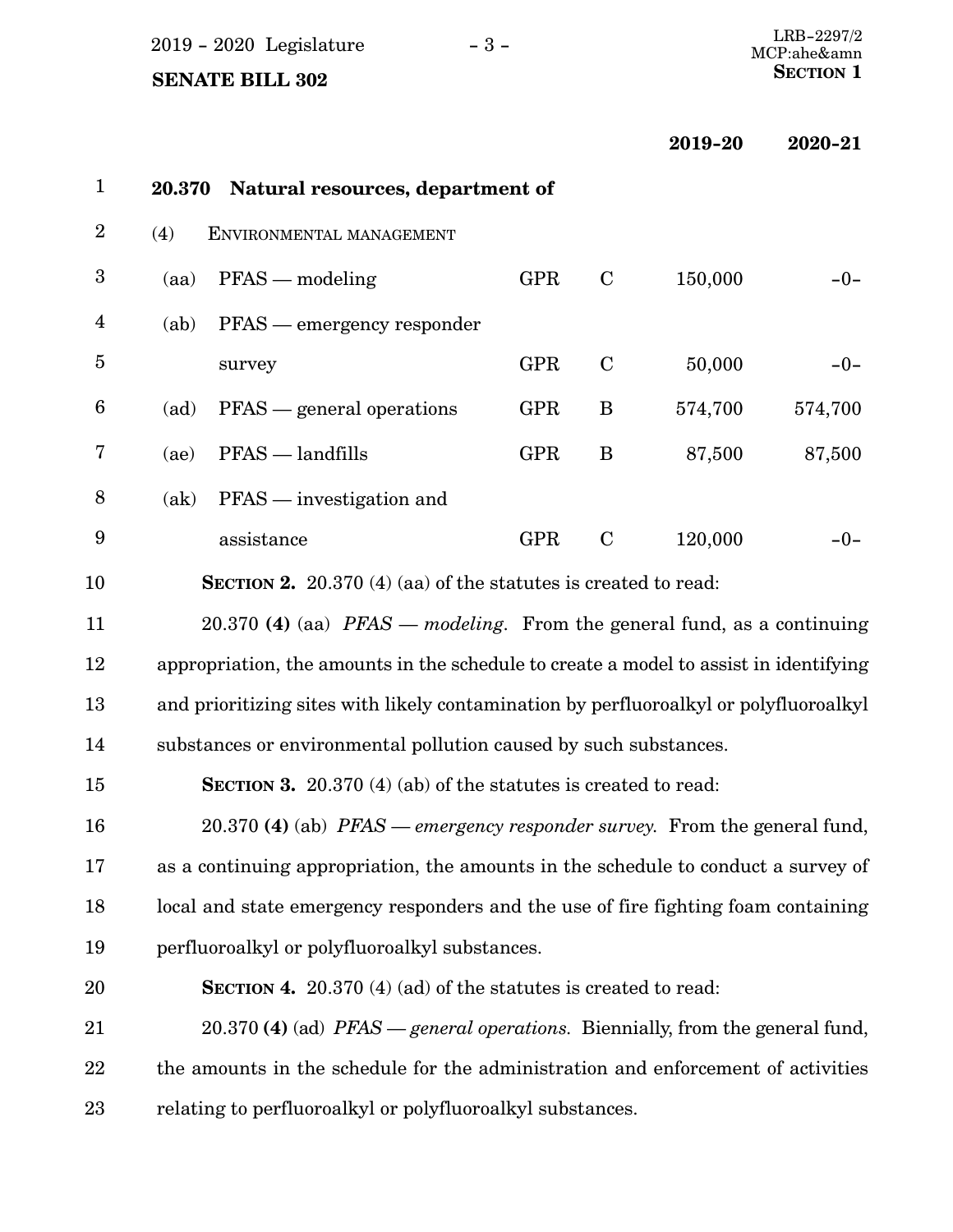| 2019 - 2020 Legislature | $-3-$ | LRB-2297/2  |
|-------------------------|-------|-------------|
|                         |       | MCP:ahe&amn |

**2019-20 2020-21**

| $\mathbf{1}$     | 20.370 | Natural resources, department of                                                      |            |             |         |         |
|------------------|--------|---------------------------------------------------------------------------------------|------------|-------------|---------|---------|
| $\sqrt{2}$       | (4)    | ENVIRONMENTAL MANAGEMENT                                                              |            |             |         |         |
| $\boldsymbol{3}$ | (aa)   | $PFS$ — modeling                                                                      | <b>GPR</b> | $\mathbf C$ | 150,000 | $-0-$   |
| $\overline{4}$   | (ab)   | PFAS — emergency responder                                                            |            |             |         |         |
| $\overline{5}$   |        | survey                                                                                | <b>GPR</b> | $\mathbf C$ | 50,000  | $-0-$   |
| $6\phantom{1}6$  | (ad)   | PFAS — general operations                                                             | <b>GPR</b> | B           | 574,700 | 574,700 |
| 7                | (ae)   | $PFS$ - landfills                                                                     | <b>GPR</b> | B           | 87,500  | 87,500  |
| 8                | (ak)   | $PFS$ — investigation and                                                             |            |             |         |         |
| $\boldsymbol{9}$ |        | assistance                                                                            | <b>GPR</b> | $\mathbf C$ | 120,000 | $-0-$   |
| 10               |        | <b>SECTION 2.</b> 20.370 (4) (aa) of the statutes is created to read:                 |            |             |         |         |
| 11               |        | 20.370 (4) (aa) $PFS$ — modeling. From the general fund, as a continuing              |            |             |         |         |
| 12               |        | appropriation, the amounts in the schedule to create a model to assist in identifying |            |             |         |         |
| 13               |        | and prioritizing sites with likely contamination by perfluoroalkyl or polyfluoroalkyl |            |             |         |         |
| 14               |        | substances or environmental pollution caused by such substances.                      |            |             |         |         |
| 15               |        | <b>SECTION 3.</b> 20.370 (4) (ab) of the statutes is created to read:                 |            |             |         |         |
| 16               |        | 20.370 (4) (ab) PFAS — emergency responder survey. From the general fund,             |            |             |         |         |
| 17               |        | as a continuing appropriation, the amounts in the schedule to conduct a survey of     |            |             |         |         |
| 18               |        | local and state emergency responders and the use of fire fighting foam containing     |            |             |         |         |
| 19               |        | perfluoroalkyl or polyfluoroalkyl substances.                                         |            |             |         |         |
| 20               |        | <b>SECTION 4.</b> 20.370 (4) (ad) of the statutes is created to read:                 |            |             |         |         |
| 21               |        | 20.370 (4) (ad) <i>PFAS — general operations</i> . Biennially, from the general fund, |            |             |         |         |
| 22               |        | the amounts in the schedule for the administration and enforcement of activities      |            |             |         |         |
| 23               |        | relating to perfluoroalkyl or polyfluoroalkyl substances.                             |            |             |         |         |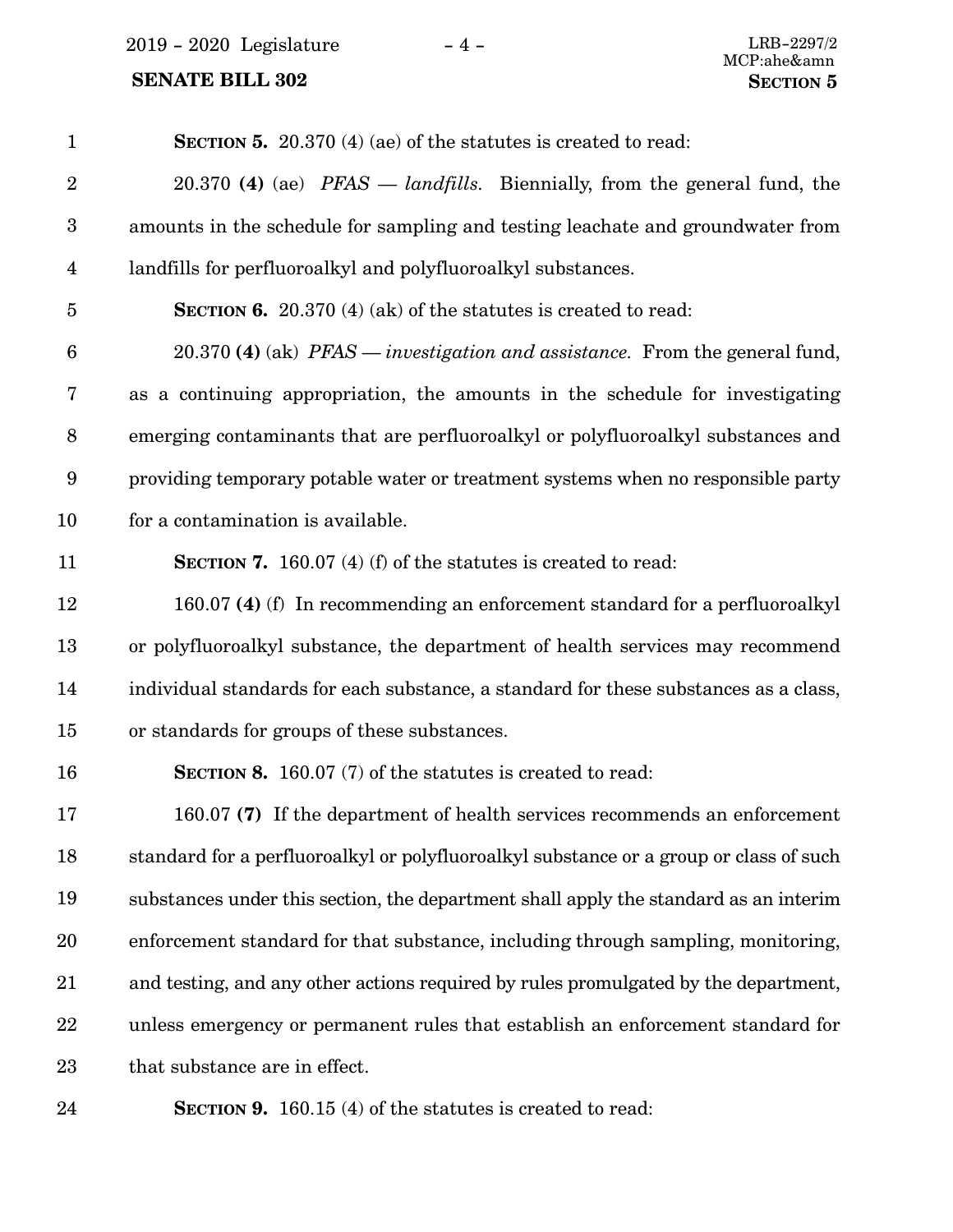2019 - 2020 Legislature - 4 - LRB-2297/2

### **SENATE BILL 302 SECTION 5**

| $\mathbf{1}$            | <b>SECTION 5.</b> 20.370 (4) (ae) of the statutes is created to read:                      |
|-------------------------|--------------------------------------------------------------------------------------------|
| $\sqrt{2}$              | 20.370 (4) (ae) $PFAST = landfills$ . Biennially, from the general fund, the               |
| $\boldsymbol{3}$        | amounts in the schedule for sampling and testing leachate and groundwater from             |
| $\overline{\mathbf{4}}$ | landfills for perfluoroalkyl and polyfluoroalkyl substances.                               |
| $\overline{5}$          | <b>SECTION 6.</b> 20.370 (4) (ak) of the statutes is created to read:                      |
| $6\phantom{.}6$         | 20.370 (4) (ak) <i>PFAS</i> — <i>investigation and assistance</i> . From the general fund, |
| 7                       | as a continuing appropriation, the amounts in the schedule for investigating               |
| $\, 8$                  | emerging contaminants that are perfluoroalkyl or polyfluoroalkyl substances and            |
| $\boldsymbol{9}$        | providing temporary potable water or treatment systems when no responsible party           |
| 10                      | for a contamination is available.                                                          |
| 11                      | <b>SECTION 7.</b> 160.07 (4) (f) of the statutes is created to read:                       |
| 12                      | 160.07 (4) (f) In recommending an enforcement standard for a perfluoroalkyl                |
| 13                      | or polyfluoroalkyl substance, the department of health services may recommend              |
| 14                      | individual standards for each substance, a standard for these substances as a class,       |
| 15                      | or standards for groups of these substances.                                               |
| 16                      | <b>SECTION 8.</b> 160.07 (7) of the statutes is created to read:                           |
| 17                      | 160.07 (7) If the department of health services recommends an enforcement                  |
| 18                      | standard for a perfluoroalkyl or polyfluoroalkyl substance or a group or class of such     |
| 19                      | substances under this section, the department shall apply the standard as an interim       |
| 20                      | enforcement standard for that substance, including through sampling, monitoring,           |
| 21                      | and testing, and any other actions required by rules promulgated by the department,        |
| 22                      | unless emergency or permanent rules that establish an enforcement standard for             |
| 23                      | that substance are in effect.                                                              |
| 24                      | <b>SECTION 9.</b> 160.15 (4) of the statutes is created to read:                           |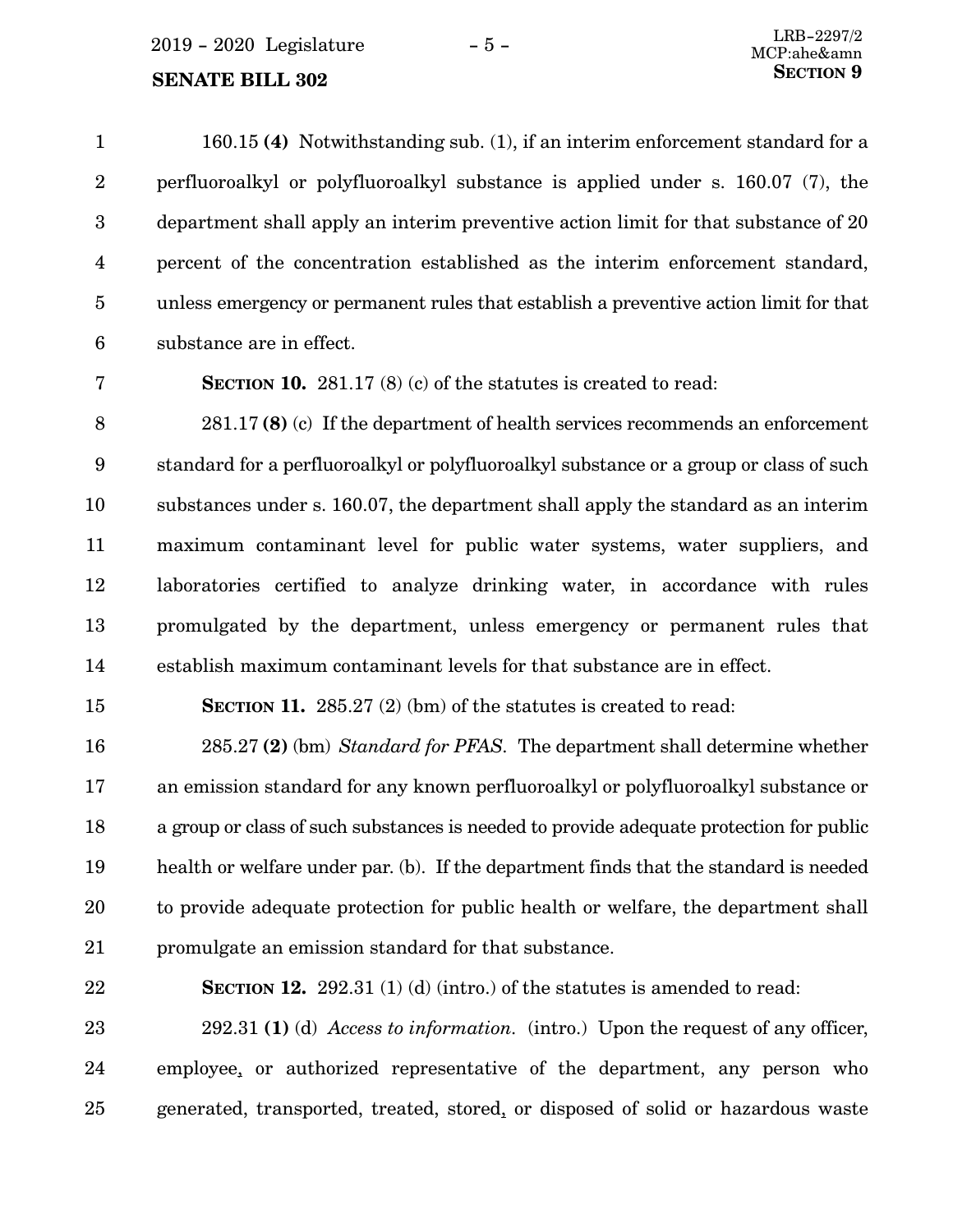160.15 **(4)** Notwithstanding sub. (1), if an interim enforcement standard for a perfluoroalkyl or polyfluoroalkyl substance is applied under s. 160.07 (7), the department shall apply an interim preventive action limit for that substance of 20 percent of the concentration established as the interim enforcement standard, unless emergency or permanent rules that establish a preventive action limit for that substance are in effect. 1 2 3 4 5 6

7

**SECTION 10.** 281.17 (8) (c) of the statutes is created to read:

281.17 **(8)** (c) If the department of health services recommends an enforcement standard for a perfluoroalkyl or polyfluoroalkyl substance or a group or class of such substances under s. 160.07, the department shall apply the standard as an interim maximum contaminant level for public water systems, water suppliers, and laboratories certified to analyze drinking water, in accordance with rules promulgated by the department, unless emergency or permanent rules that establish maximum contaminant levels for that substance are in effect. 8 9 10 11 12 13 14

**SECTION 11.** 285.27 (2) (bm) of the statutes is created to read:

285.27 **(2)** (bm) *Standard for PFAS.* The department shall determine whether an emission standard for any known perfluoroalkyl or polyfluoroalkyl substance or a group or class of such substances is needed to provide adequate protection for public health or welfare under par. (b). If the department finds that the standard is needed to provide adequate protection for public health or welfare, the department shall promulgate an emission standard for that substance. 16 17 18 19 20 21

22

15

**SECTION 12.** 292.31 (1) (d) (intro.) of the statutes is amended to read:

292.31 **(1)** (d) *Access to information.* (intro.) Upon the request of any officer, employee, or authorized representative of the department, any person who generated, transported, treated, stored, or disposed of solid or hazardous waste 23 24 25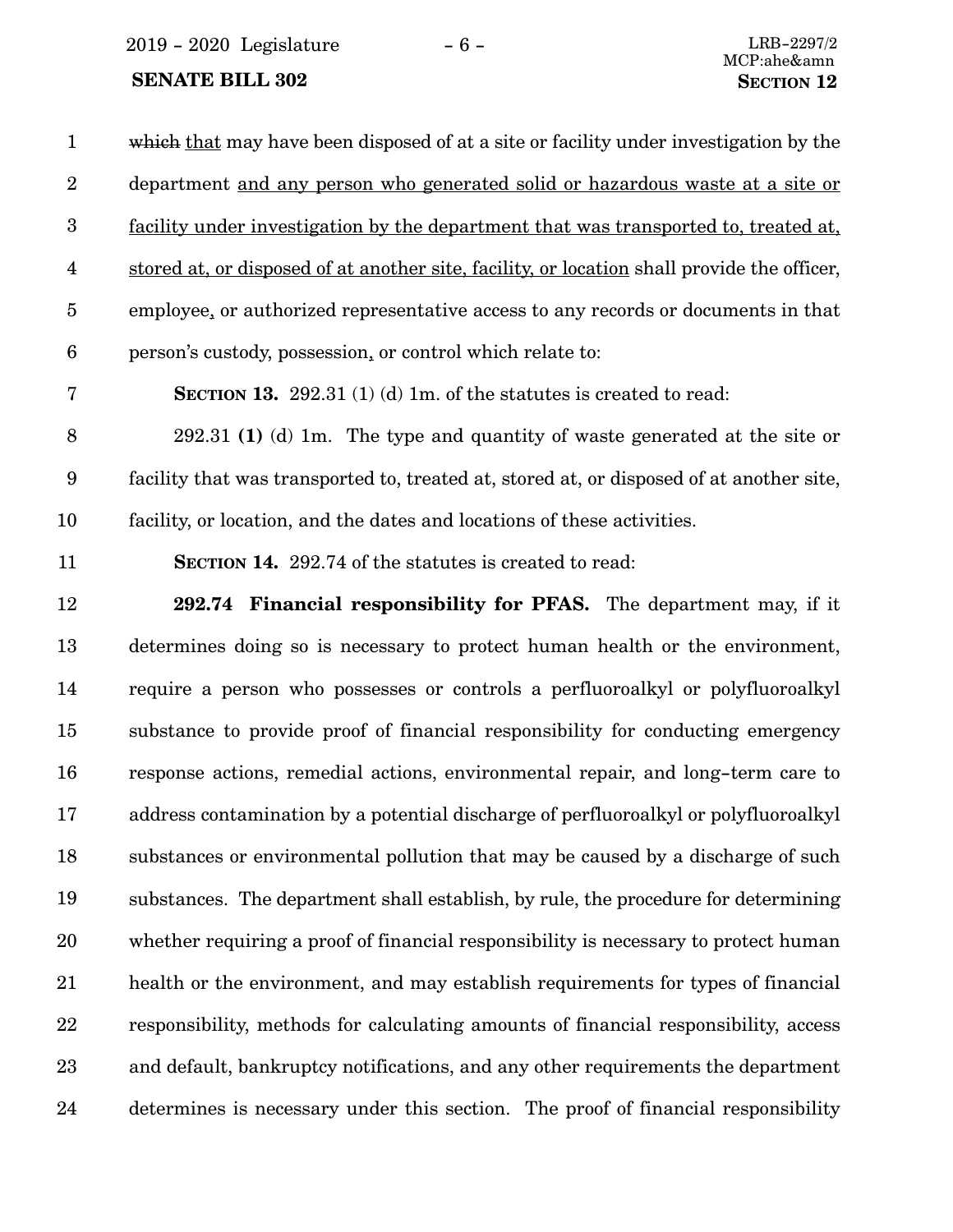2019 - 2020 Legislature - 6 - LRB-2297/2

#### **SENATE BILL 302 SECTION** 12

which that may have been disposed of at a site or facility under investigation by the department and any person who generated solid or hazardous waste at a site or facility under investigation by the department that was transported to, treated at, stored at, or disposed of at another site, facility, or location shall provide the officer, employee, or authorized representative access to any records or documents in that person's custody, possession, or control which relate to: 1 2 3 4 5 6

**SECTION 13.** 292.31 (1) (d) 1m. of the statutes is created to read:

292.31 **(1)** (d) 1m. The type and quantity of waste generated at the site or facility that was transported to, treated at, stored at, or disposed of at another site, facility, or location, and the dates and locations of these activities. 8 9 10

11

7

**SECTION 14.** 292.74 of the statutes is created to read:

**292.74 Financial responsibility for PFAS.** The department may, if it determines doing so is necessary to protect human health or the environment, require a person who possesses or controls a perfluoroalkyl or polyfluoroalkyl substance to provide proof of financial responsibility for conducting emergency response actions, remedial actions, environmental repair, and long-term care to address contamination by a potential discharge of perfluoroalkyl or polyfluoroalkyl substances or environmental pollution that may be caused by a discharge of such substances. The department shall establish, by rule, the procedure for determining whether requiring a proof of financial responsibility is necessary to protect human health or the environment, and may establish requirements for types of financial responsibility, methods for calculating amounts of financial responsibility, access and default, bankruptcy notifications, and any other requirements the department determines is necessary under this section. The proof of financial responsibility 12 13 14 15 16 17 18 19 20 21 22 23 24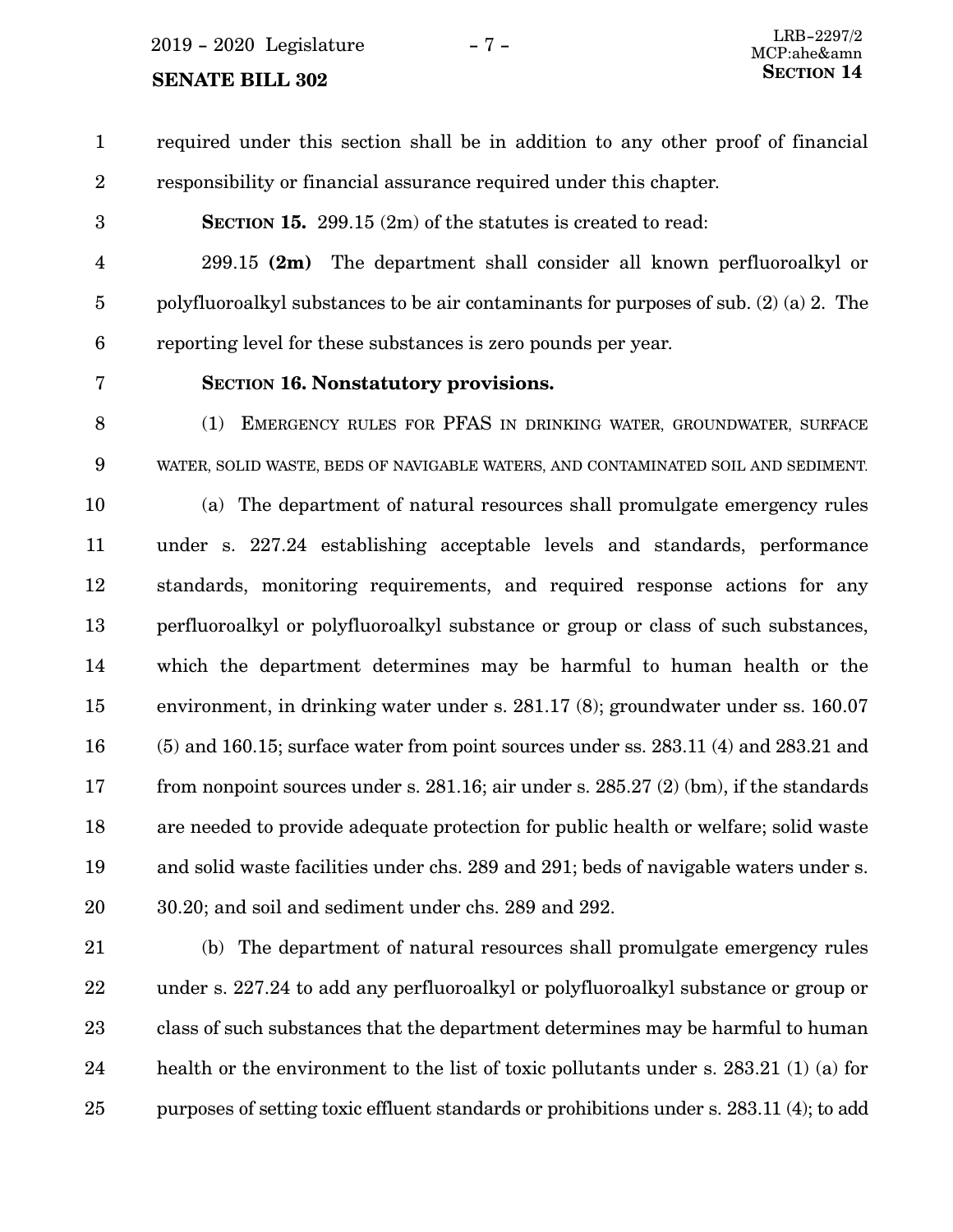<span id="page-6-0"></span> $2019 - 2020$  Legislature  $-7 -$ 

# **SENATE BILL 302** SECTION 14

required under this section shall be in addition to any other proof of financial responsibility or financial assurance required under this chapter. 1 2

3

**SECTION 15.** 299.15 (2m) of the statutes is created to read:

299.15 **(2m)** The department shall consider all known perfluoroalkyl or polyfluoroalkyl substances to be air contaminants for purposes of sub. (2) (a) 2. The reporting level for these substances is zero pounds per year. 4 5 6

7

#### **SECTION 16.**0**Nonstatutory provisions.**

(1) EMERGENCY RULES FOR PFAS IN DRINKING WATER, GROUNDWATER, SURFACE WATER, SOLID WASTE, BEDS OF NAVIGABLE WATERS, AND CONTAMINATED SOIL AND SEDIMENT. 8 9

(a) The department of natural resources shall promulgate emergency rules under s. 227.24 establishing acceptable levels and standards, performance standards, monitoring requirements, and required response actions for any perfluoroalkyl or polyfluoroalkyl substance or group or class of such substances, which the department determines may be harmful to human health or the environment, in drinking water under s. 281.17 (8); groundwater under ss. 160.07 (5) and 160.15; surface water from point sources under ss. 283.11 (4) and 283.21 and from nonpoint sources under s. 281.16; air under s. 285.27 (2) (bm), if the standards are needed to provide adequate protection for public health or welfare; solid waste and solid waste facilities under chs. 289 and 291; beds of navigable waters under s. 30.20; and soil and sediment under chs. 289 and 292. 10 11 12 13 14 15 16 17 18 19 20

(b) The department of natural resources shall promulgate emergency rules under s. 227.24 to add any perfluoroalkyl or polyfluoroalkyl substance or group or class of such substances that the department determines may be harmful to human health or the environment to the list of toxic pollutants under s. 283.21 (1) (a) for purposes of setting toxic effluent standards or prohibitions under s. 283.11 (4); to add 21 22 23 24 25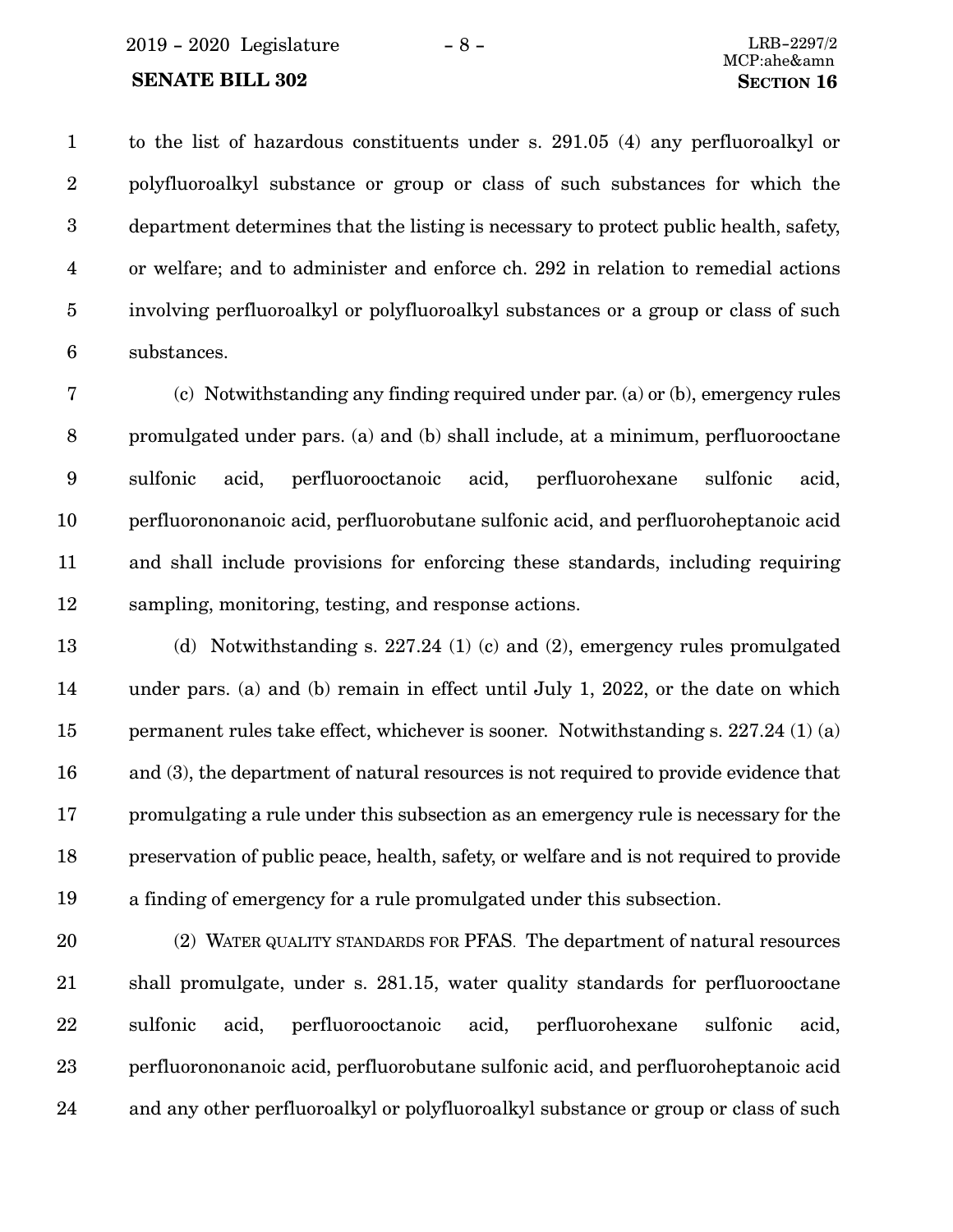to the list of hazardous constituents under s. 291.05 (4) any perfluoroalkyl or polyfluoroalkyl substance or group or class of such substances for which the department determines that the listing is necessary to protect public health, safety, or welfare; and to administer and enforce ch. 292 in relation to remedial actions involving perfluoroalkyl or polyfluoroalkyl substances or a group or class of such substances. 1 2 3 4 5 6

(c) Notwithstanding any finding required under par. [\(a\)](#page-6-0) or [\(b\)](#page-6-0), emergency rules promulgated under pars. ([a](#page-6-0)) and [\(b\)](#page-6-0) shall include, at a minimum, perfluorooctane sulfonic acid, perfluorooctanoic acid, perfluorohexane sulfonic acid, perfluorononanoic acid, perfluorobutane sulfonic acid, and perfluoroheptanoic acid and shall include provisions for enforcing these standards, including requiring sampling, monitoring, testing, and response actions. 7 8 9 10 11 12

(d) Notwithstanding s. 227.24 (1) (c) and (2), emergency rules promulgated under pars. ([a\)](#page-6-0) and ([b](#page-6-0)) remain in effect until July 1, 2022, or the date on which permanent rules take effect, whichever is sooner. Notwithstanding s. 227.24 (1) (a) and (3), the department of natural resources is not required to provide evidence that promulgating a rule under this subsection as an emergency rule is necessary for the preservation of public peace, health, safety, or welfare and is not required to provide a finding of emergency for a rule promulgated under this subsection. 13 14 15 16 17 18 19

(2) WATER QUALITY STANDARDS FOR PFAS. The department of natural resources shall promulgate, under s. 281.15, water quality standards for perfluorooctane sulfonic acid, perfluorooctanoic acid, perfluorohexane sulfonic acid, perfluorononanoic acid, perfluorobutane sulfonic acid, and perfluoroheptanoic acid and any other perfluoroalkyl or polyfluoroalkyl substance or group or class of such 20 21 22 23 24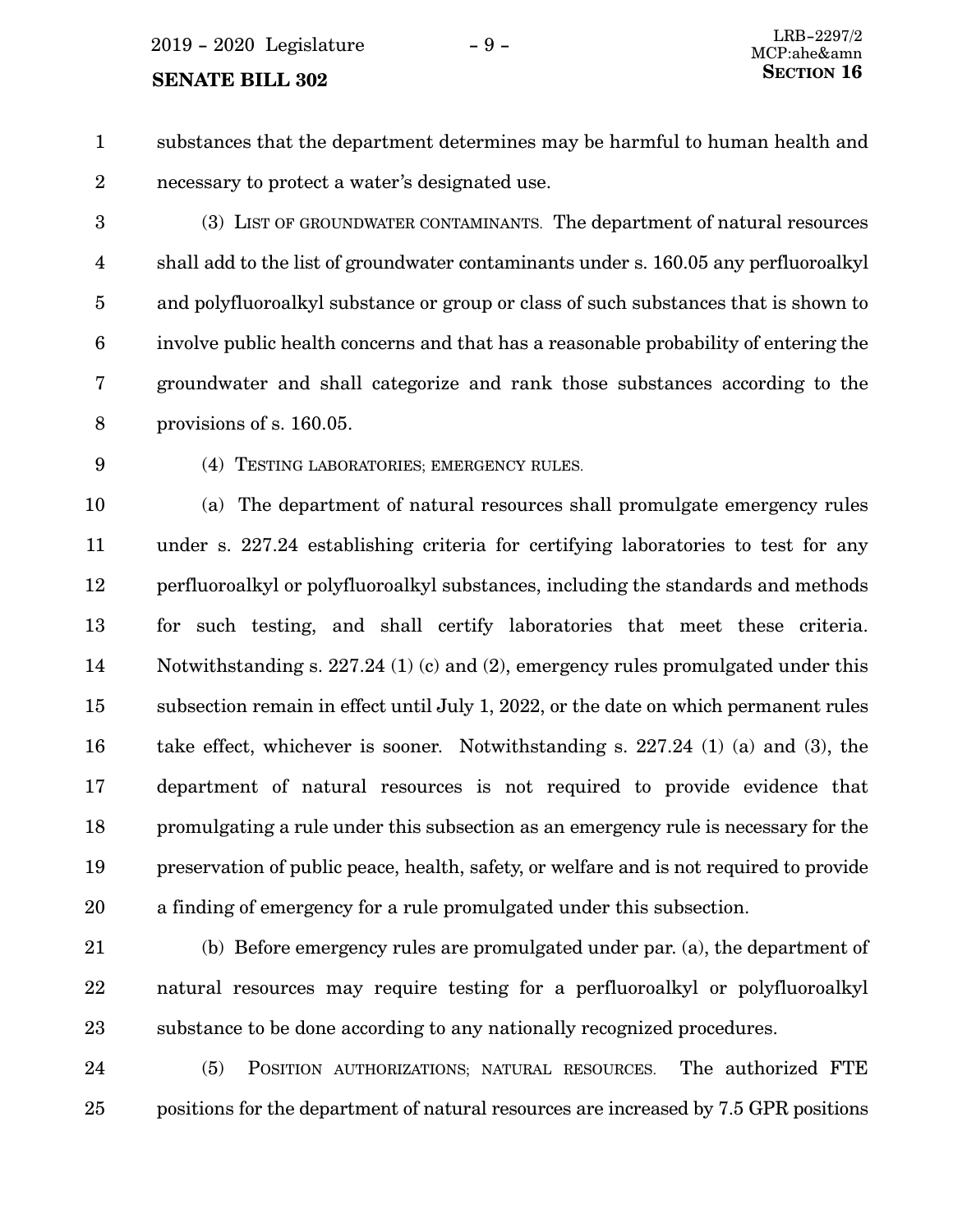<span id="page-8-0"></span>substances that the department determines may be harmful to human health and necessary to protect a water's designated use. 1 2

(3) LIST OF GROUNDWATER CONTAMINANTS. The department of natural resources shall add to the list of groundwater contaminants under s. 160.05 any perfluoroalkyl and polyfluoroalkyl substance or group or class of such substances that is shown to involve public health concerns and that has a reasonable probability of entering the groundwater and shall categorize and rank those substances according to the provisions of s. 160.05. 3 4 5 6 7 8

9

(4) TESTING LABORATORIES; EMERGENCY RULES.

(a) The department of natural resources shall promulgate emergency rules under s. 227.24 establishing criteria for certifying laboratories to test for any perfluoroalkyl or polyfluoroalkyl substances, including the standards and methods for such testing, and shall certify laboratories that meet these criteria. Notwithstanding s. 227.24 (1) (c) and (2), emergency rules promulgated under this subsection remain in effect until July 1, 2022, or the date on which permanent rules take effect, whichever is sooner. Notwithstanding s. 227.24 (1) (a) and (3), the department of natural resources is not required to provide evidence that promulgating a rule under this subsection as an emergency rule is necessary for the preservation of public peace, health, safety, or welfare and is not required to provide a finding of emergency for a rule promulgated under this subsection. 10 11 12 13 14 15 16 17 18 19 20

(b) Before emergency rules are promulgated under par. (a), the department of natural resources may require testing for a perfluoroalkyl or polyfluoroalkyl substance to be done according to any nationally recognized procedures. 21 22 23

(5) POSITION AUTHORIZATIONS; NATURAL RESOURCES. The authorized FTE positions for the department of natural resources are increased by 7.5 GPR positions 24 25